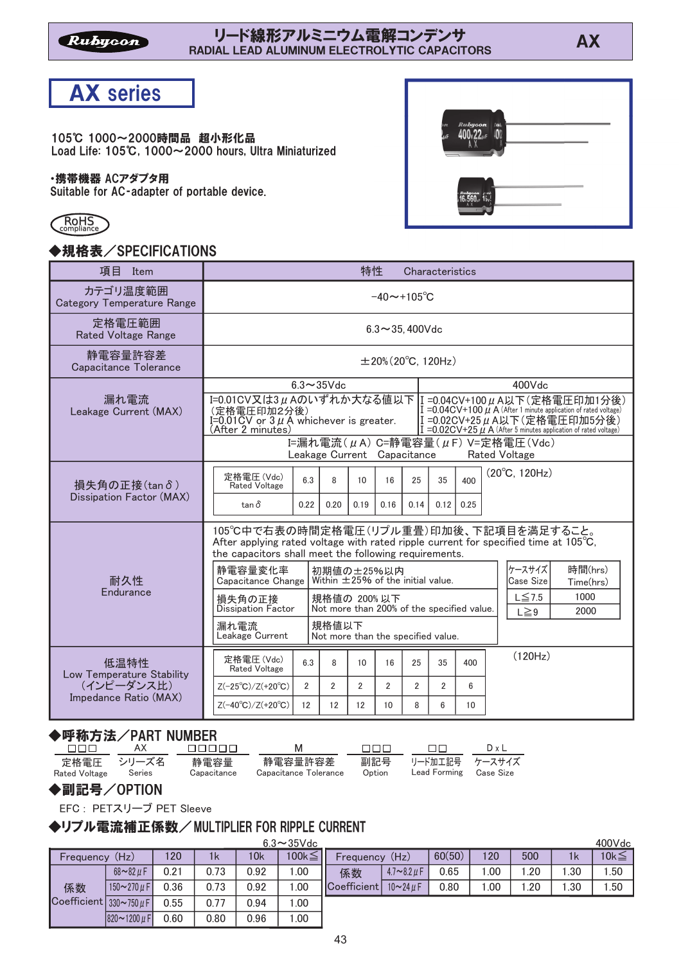### -リート線形アルミニワム電解コンテンサ<br>RADIAL LEAD ALUMINUM ELECTROLYTIC CAPACITORS スページ



105℃ 1000~2000時間品 超小形化品 Load Life:  $105^\circ$ C. 1000 $\sim$ 2000 hours, Ultra Miniaturized

#### ・携帯機器 ACアダプタ用

Suitable for AC-adapter of portable device.



# ◆規格表/SPECIFICATIONS



| 項目<br>Item                                                       |                                                                                                                                                                                                                                                                                                                                                                                                            |                |                             | 特性             |                |                                                    | Characteristics |             |                                                |
|------------------------------------------------------------------|------------------------------------------------------------------------------------------------------------------------------------------------------------------------------------------------------------------------------------------------------------------------------------------------------------------------------------------------------------------------------------------------------------|----------------|-----------------------------|----------------|----------------|----------------------------------------------------|-----------------|-------------|------------------------------------------------|
| カテゴリ温度範囲<br><b>Category Temperature Range</b>                    | $-40 \sim +105^{\circ}C$                                                                                                                                                                                                                                                                                                                                                                                   |                |                             |                |                |                                                    |                 |             |                                                |
| 定格電圧範囲<br><b>Rated Voltage Range</b>                             | $6.3 \sim 35.400$ Vdc                                                                                                                                                                                                                                                                                                                                                                                      |                |                             |                |                |                                                    |                 |             |                                                |
| 静電容量許容差<br>Capacitance Tolerance                                 | $\pm 20\%$ (20 $^{\circ}$ C, 120Hz)                                                                                                                                                                                                                                                                                                                                                                        |                |                             |                |                |                                                    |                 |             |                                                |
| 漏れ電流<br>Leakage Current (MAX)                                    | $6.3 \sim 35$ Vdc<br>400Vdc<br>I=0.01CV又は3μAのいずれか大なる値以下  I =0.04CV+100μA以下(定格電圧印加1分後)<br>I = 0.04 CV + 100 $\mu$ A (After 1 minute application of rated voltage)<br>(定格電圧印加2分後)<br>I=0.02CV+25μA以下(定格電圧印加5分後)<br>$I=0.01$ $\sigma$ or $3 \mu$ Å whichever is greater.<br>(After 2 minutes)<br>$I = 0.02$ CV+25 $\mu$ A (After 5 minutes application of rated voltage)<br>I=漏れ電流(μA) C=静電容量(μF) V=定格電圧(Vdc) |                |                             |                |                |                                                    |                 |             |                                                |
|                                                                  | 定格雷圧(Vdc)                                                                                                                                                                                                                                                                                                                                                                                                  |                | Leakage Current Capacitance |                |                |                                                    |                 |             | <b>Rated Voltage</b><br>$(20^{\circ}C, 120Hz)$ |
| 損失角の正接(tanδ)<br>Dissipation Factor (MAX)                         | <b>Rated Voltage</b><br>$tan \delta$                                                                                                                                                                                                                                                                                                                                                                       | 6.3<br>0.22    | 8<br>0.20                   | 10<br>0.19     | 16<br>0.16     | 25<br>0.14                                         | 35<br>0.12      | 400<br>0.25 |                                                |
|                                                                  | 105℃中で右表の時間定格電圧(リプル重畳)印加後、下記項目を満足すること。<br>After applying rated voltage with rated ripple current for specified time at $105^{\circ}$ C,<br>the capacitors shall meet the following requirements.                                                                                                                                                                                                           |                |                             |                |                |                                                    |                 |             |                                                |
| 耐久性                                                              | 静電容量変化率<br>初期値の±25%以内<br>Within $\pm$ 25% of the initial value.<br>Capacitance Change                                                                                                                                                                                                                                                                                                                      |                |                             |                |                | ケースサイズ<br>時間(hrs)<br><b>Case Size</b><br>Time(hrs) |                 |             |                                                |
| Endurance                                                        | 規格値の 200%以下<br>損失角の正接<br>Dissipation Factor<br>Not more than 200% of the specified value.                                                                                                                                                                                                                                                                                                                  |                |                             |                |                | $L \leq 7.5$<br>1000<br>2000<br>$L \geq 9$         |                 |             |                                                |
|                                                                  | 規格値以下<br>漏れ電流<br>Leakage Current<br>Not more than the specified value.                                                                                                                                                                                                                                                                                                                                     |                |                             |                |                |                                                    |                 |             |                                                |
| 低温特性                                                             | 定格電圧(Vdc)<br><b>Rated Voltage</b>                                                                                                                                                                                                                                                                                                                                                                          | 6.3            | 8                           | 10             | 16             | 25                                                 | 35              | 400         | (120Hz)                                        |
| Low Temperature Stability<br>(インピーダンス比)<br>Impedance Ratio (MAX) | $Z(-25^{\circ}C)/Z(+20^{\circ}C)$                                                                                                                                                                                                                                                                                                                                                                          | $\overline{2}$ | $\overline{2}$              | $\mathfrak{p}$ | $\mathfrak{p}$ | $\overline{2}$                                     | $\overline{2}$  | 6           |                                                |
|                                                                  | $Z(-40^{\circ}C)/Z(+20^{\circ}C)$                                                                                                                                                                                                                                                                                                                                                                          | 12             | 12                          | 12             | 10             | 8                                                  | 6               | 10          |                                                |

### ◆呼称方法/PART NUMRFR

|               | _____________________________________ |                     |                                  |        |                                              |              |
|---------------|---------------------------------------|---------------------|----------------------------------|--------|----------------------------------------------|--------------|
| nnn.          | AX                                    | FIFIEL T            | M                                | nnn.   | $\Box$                                       | $D \times L$ |
| Rated Voltage | 定格雷圧 シリーズ名<br>Series                  | 静雷容量<br>Capacitance | 静雷容量許容差<br>Capacitance Tolerance | Option | 副記号 リード加工記号 ケースサイズ<br>Lead Forming Case Size |              |

#### ◆副記号/OPTION

EFC: PETスリーブ PET Sleeve

#### ◆リプル電流補正係数/MULTIPLIER FOR RIPPLE CURRENT

 $1k$ 1.00 Frequency (Hz) 係数 Coefficient  $330\nu$ 750 $\mu$ F 0.21 0.73 0.92 120  $100k \leq$ 0.36 0.73 0.92 1.00  $68 - 82 \mu F$  $150 - 270 \text{ }\mu \text{F}$  $1k$ 1.30 Frequency (Hz) 係数 Coefficient 0.65 1.00 1.20  $60(50)$  120 500 1.50  $10k\leq$  $0.80$  | 1.00 | 1.20 | 1.30 | 1.50  $4.7 - 8.2 \mu F$  $10 - 24 \mu F$ 10k  $0.55$  0.77 0.94 1.00  $0.60$   $\begin{array}{|c|c|c|c|c|c|c|c|} \hline 0.96 & 1.00 \hline \end{array}$  $820 - 1200 \mu$ F  $6.3 - 35$ Vdc 400Vdc